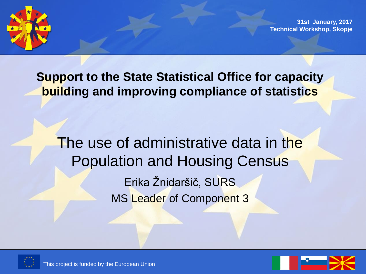

**31st January, 2017 Technical Workshop, Skopje** 

**Support to the State Statistical Office for capacity building and improving compliance of statistics**

The use of administrative data in the Population and Housing Census Erika Žnidaršič, SURS MS Leader of Component 3





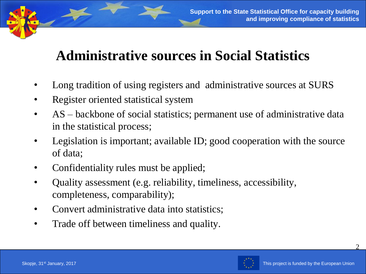# **Administrative sources in Social Statistics**

- Long tradition of using registers and administrative sources at SURS
- Register oriented statistical system
- AS backbone of social statistics; permanent use of administrative data in the statistical process;
- Legislation is important; available ID; good cooperation with the source of data;
- Confidentiality rules must be applied;
- Quality assessment (e.g. reliability, timeliness, accessibility, completeness, comparability);
- Convert administrative data into statistics;
- Trade off between timeliness and quality.

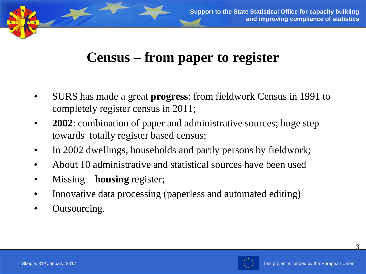## **Census – from paper to register**

- SURS has made a great **progress**: from fieldwork Census in 1991 to completely register census in 2011;
- **2002**: combination of paper and administrative sources; huge step towards totally register based census;
- In 2002 dwellings, households and partly persons by fieldwork;
- About 10 administrative and statistical sources have been used
- Missing **housing** register;
- Innovative data processing (paperless and automated editing)
- Outsourcing.

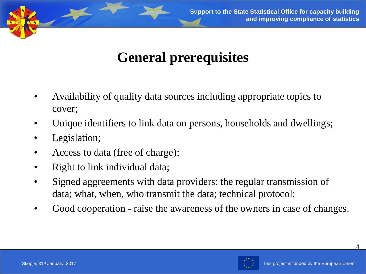

# **General prerequisites**

- Availability of quality data sources including appropriate topics to cover;
- Unique identifiers to link data on persons, households and dwellings;
- Legislation;
- Access to data (free of charge);
- Right to link individual data;
- Signed aggreements with data providers: the regular transmission of data; what, when, who transmit the data; technical protocol;
- Good cooperation raise the awareness of the owners in case of changes.

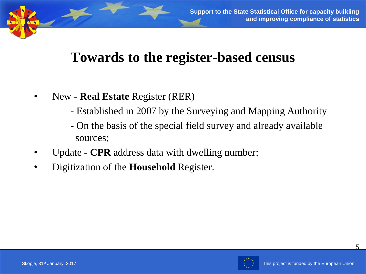## **Towards to the register-based census**

- New **Real Estate** Register (RER)
	- Established in 2007 by the Surveying and Mapping Authority
	- On the basis of the special field survey and already available sources;
- Update **CPR** address data with dwelling number;
- Digitization of the **Household** Register.

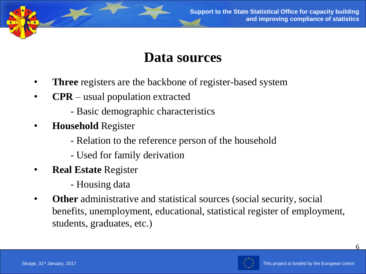

#### **Data sources**

- **Three** registers are the backbone of register-based system
- **CPR** usual population extracted
	- Basic demographic characteristics
- **Household** Register
	- Relation to the reference person of the household
	- Used for family derivation
- **Real Estate** Register
	- Housing data
- **Other** administrative and statistical sources (social security, social benefits, unemployment, educational, statistical register of employment, students, graduates, etc.)

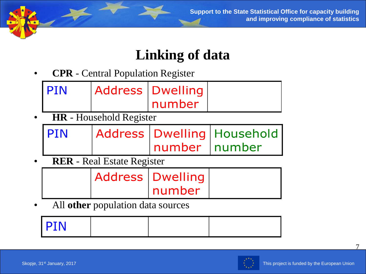

## **Linking of data**

• **CPR** - Central Population Register

| I PIN | Address   Dwelling |  |
|-------|--------------------|--|
|       | number             |  |

• **HR** - Household Register

| <b>PIN</b> |                | Address   Dwelling   Household |
|------------|----------------|--------------------------------|
|            | number Inumber |                                |

• **RER** - Real Estate Register

|  | <b>Address   Dwelling  </b> |  |
|--|-----------------------------|--|
|  | number                      |  |

• All **other** population data sources

| <b>PIN</b> |  |  |
|------------|--|--|
|            |  |  |
|            |  |  |
|            |  |  |

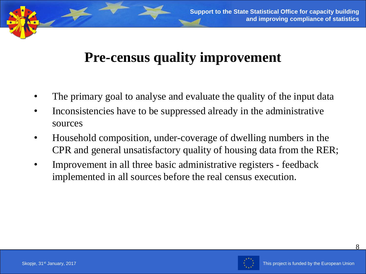## **Pre-census quality improvement**

- The primary goal to analyse and evaluate the quality of the input data
- Inconsistencies have to be suppressed already in the administrative sources
- Household composition, under-coverage of dwelling numbers in the CPR and general unsatisfactory quality of housing data from the RER;
- Improvement in all three basic administrative registers feedback implemented in all sources before the real census execution.

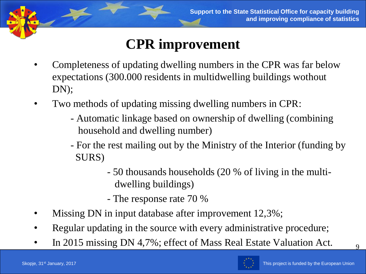# **CPR improvement**

- Completeness of updating dwelling numbers in the CPR was far below expectations (300.000 residents in multidwelling buildings wothout DN);
- Two methods of updating missing dwelling numbers in CPR:
	- Automatic linkage based on ownership of dwelling (combining household and dwelling number)
	- For the rest mailing out by the Ministry of the Interior (funding by SURS)
		- 50 thousands households (20 % of living in the multidwelling buildings)
		- The response rate 70 %
- Missing DN in input database after improvement 12,3%;
- Regular updating in the source with every administrative procedure;
- In 2015 missing DN 4,7%; effect of Mass Real Estate Valuation Act.

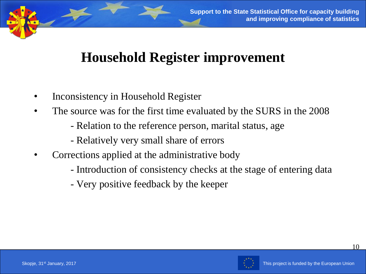## **Household Register improvement**

- Inconsistency in Household Register
- The source was for the first time evaluated by the SURS in the 2008
	- Relation to the reference person, marital status, age
	- Relatively very small share of errors
- Corrections applied at the administrative body
	- Introduction of consistency checks at the stage of entering data
	- Very positive feedback by the keeper

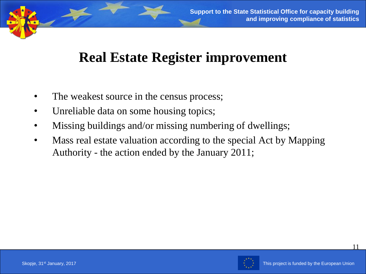## **Real Estate Register improvement**

- The weakest source in the census process;
- Unreliable data on some housing topics;
- Missing buildings and/or missing numbering of dwellings;
- Mass real estate valuation according to the special Act by Mapping Authority - the action ended by the January 2011;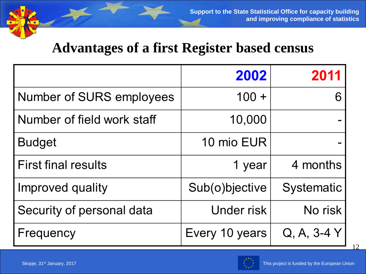#### **Advantages of a first Register based census**

|                            | 2002           | 2011              |
|----------------------------|----------------|-------------------|
| Number of SURS employees   | $100 +$        |                   |
| Number of field work staff | 10,000         |                   |
| Budget                     | 10 mio EUR     |                   |
| First final results        | 1 year         | 4 months          |
| Improved quality           | Sub(o)bjective | <b>Systematic</b> |
| Security of personal data  | Under risk     | No risk           |
| Frequency                  | Every 10 years | $Q, A, 3-4Y$      |

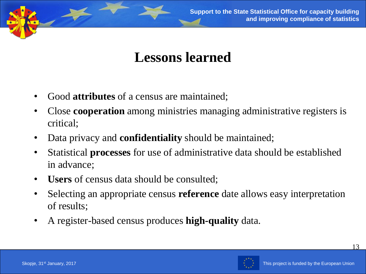

#### **Lessons learned**

- Good **attributes** of a census are maintained;
- Close **cooperation** among ministries managing administrative registers is critical;
- Data privacy and **confidentiality** should be maintained;
- Statistical **processes** for use of administrative data should be established in advance;
- **Users** of census data should be consulted;
- Selecting an appropriate census **reference** date allows easy interpretation of results;
- A register-based census produces **high-quality** data.

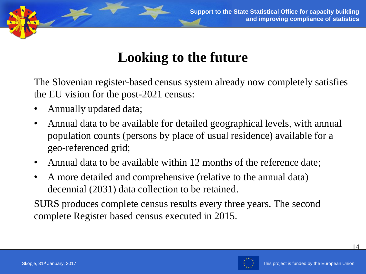

# **Looking to the future**

The Slovenian register-based census system already now completely satisfies the EU vision for the post-2021 census:

- Annually updated data;
- Annual data to be available for detailed geographical levels, with annual population counts (persons by place of usual residence) available for a geo-referenced grid;
- Annual data to be available within 12 months of the reference date;
- A more detailed and comprehensive (relative to the annual data) decennial (2031) data collection to be retained.

SURS produces complete census results every three years. The second complete Register based census executed in 2015.